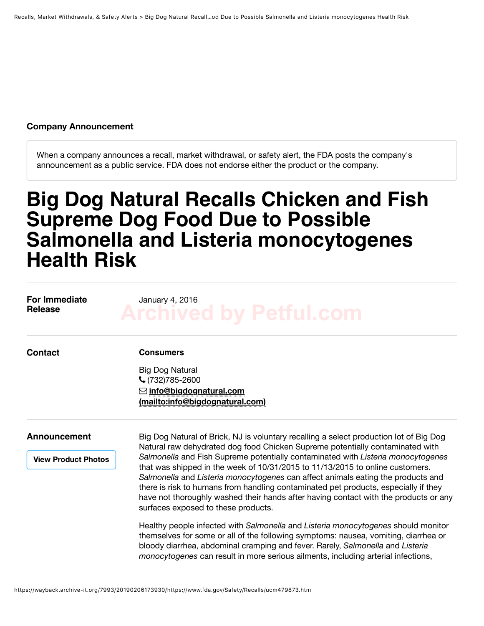## **Company Announcement**

When a company announces a recall, market withdrawal, or safety alert, the FDA posts the company's announcement as a public service. FDA does not endorse either the product or the company.

## **Big Dog Natural Recalls Chicken and Fish Supreme Dog Food Due to Possible Salmonella and Listeria monocytogenes Health Risk**

| <b>For Immediate</b><br><b>Release</b> | January 4, 2016<br><b>Archived by Petful.com</b>                                                                                                                                                                                                                                                                                                                                                                                                                            |
|----------------------------------------|-----------------------------------------------------------------------------------------------------------------------------------------------------------------------------------------------------------------------------------------------------------------------------------------------------------------------------------------------------------------------------------------------------------------------------------------------------------------------------|
| <b>Contact</b>                         | <b>Consumers</b>                                                                                                                                                                                                                                                                                                                                                                                                                                                            |
|                                        | <b>Big Dog Natural</b><br>$C(732)785-2600$<br>⊠ info@bigdognatural.com<br>(mailto:info@bigdognatural.com)                                                                                                                                                                                                                                                                                                                                                                   |
| <b>Announcement</b>                    | Big Dog Natural of Brick, NJ is voluntary recalling a select production lot of Big Dog<br>Natural raw dehydrated dog food Chicken Supreme potentially contaminated with                                                                                                                                                                                                                                                                                                     |
| <b>View Product Photos</b>             | Salmonella and Fish Supreme potentially contaminated with Listeria monocytogenes<br>that was shipped in the week of 10/31/2015 to 11/13/2015 to online customers.<br>Salmonella and Listeria monocytogenes can affect animals eating the products and<br>there is risk to humans from handling contaminated pet products, especially if they<br>have not thoroughly washed their hands after having contact with the products or any<br>surfaces exposed to these products. |
|                                        | Healthy people infected with Salmonella and Listeria monocytogenes should monitor                                                                                                                                                                                                                                                                                                                                                                                           |

themselves for some or all of the following symptoms: nausea, vomiting, diarrhea or bloody diarrhea, abdominal cramping and fever. Rarely, *Salmonella* and *Listeria monocytogenes* can result in more serious ailments, including arterial infections,